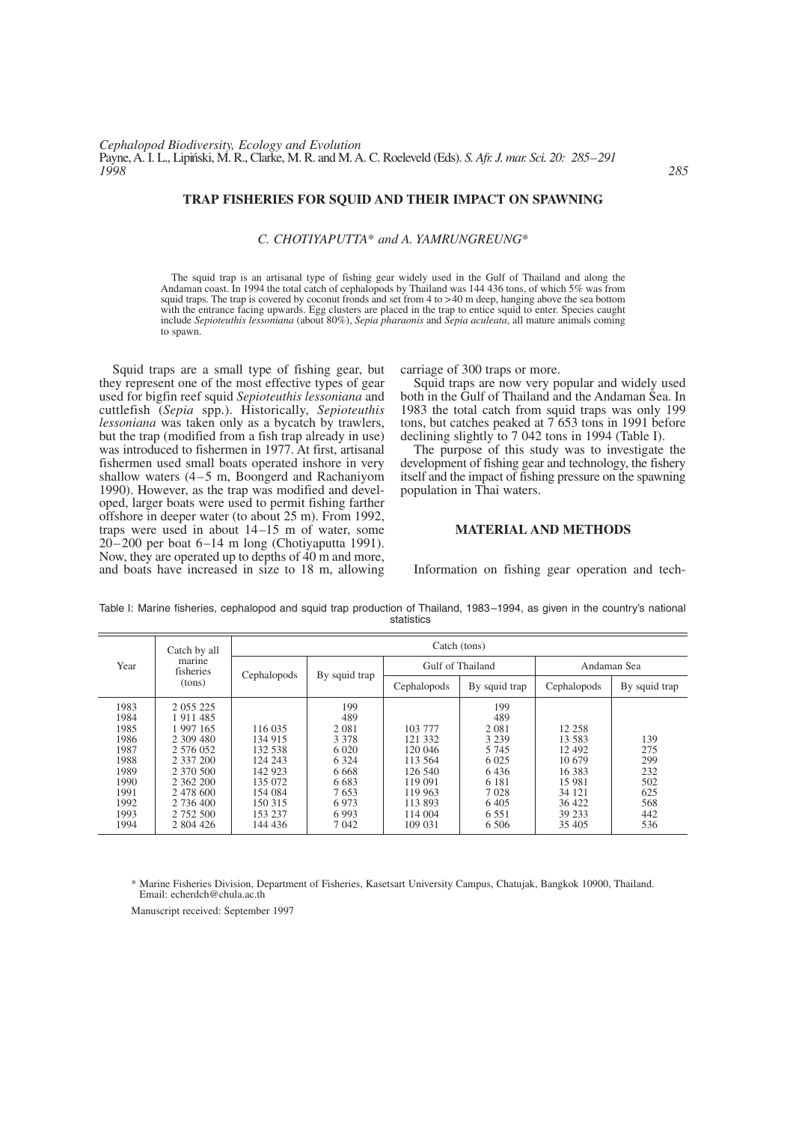## **TRAP FISHERIES FOR SQUID AND THEIR IMPACT ON SPAWNING**

#### *C. CHOTIYAPUTTA*\* *and A. YAMRUNGREUNG*\*

The squid trap is an artisanal type of fishing gear widely used in the Gulf of Thailand and along the Andaman coast. In 1994 the total catch of cephalopods by Thailand was 144 436 tons, of which 5% was from squid traps. The trap is covered by coconut fronds and set from 4 to >40 m deep, hanging above the sea bottom with the entrance facing upwards. Egg clusters are placed in the trap to entice squid to enter. Species caught include *Sepioteuthis lessoniana* (about 80%), *Sepia pharaonis* and *Sepia aculeata*, all mature animals coming to spawn.

Squid traps are a small type of fishing gear, but they represent one of the most effective types of gear used for bigfin reef squid *Sepioteuthis lessoniana* and cuttlefish (*Sepia* spp.). Historically, *Sepioteuthis lessoniana* was taken only as a bycatch by trawlers, but the trap (modified from a fish trap already in use) was introduced to fishermen in 1977. At first, artisanal fishermen used small boats operated inshore in very shallow waters (4–5 m, Boongerd and Rachaniyom 1990). However, as the trap was modified and developed, larger boats were used to permit fishing farther offshore in deeper water (to about 25 m). From 1992, traps were used in about 14–15 m of water, some 20–200 per boat 6–14 m long (Chotiyaputta 1991). Now, they are operated up to depths of 40 m and more, and boats have increased in size to 18 m, allowing carriage of 300 traps or more.

Squid traps are now very popular and widely used both in the Gulf of Thailand and the Andaman Sea. In 1983 the total catch from squid traps was only 199 tons, but catches peaked at 7 653 tons in 1991 before declining slightly to 7 042 tons in 1994 (Table I).

The purpose of this study was to investigate the development of fishing gear and technology, the fishery itself and the impact of fishing pressure on the spawning population in Thai waters.

## **MATERIAL AND METHODS**

Information on fishing gear operation and tech-

Table I: Marine fisheries, cephalopod and squid trap production of Thailand, 1983–1994, as given in the country's national statistics

|                                                                                      | Catch by all                                                                                                                                  | Catch (tons)                                                                                    |                                                                                                     |                                                                                                 |                                                                                                     |                                                                                          |                                                      |  |  |
|--------------------------------------------------------------------------------------|-----------------------------------------------------------------------------------------------------------------------------------------------|-------------------------------------------------------------------------------------------------|-----------------------------------------------------------------------------------------------------|-------------------------------------------------------------------------------------------------|-----------------------------------------------------------------------------------------------------|------------------------------------------------------------------------------------------|------------------------------------------------------|--|--|
| Year                                                                                 | marine<br>fisheries                                                                                                                           | Cephalopods                                                                                     | By squid trap                                                                                       | Gulf of Thailand                                                                                |                                                                                                     | Andaman Sea                                                                              |                                                      |  |  |
|                                                                                      | (tons)                                                                                                                                        |                                                                                                 |                                                                                                     | Cephalopods                                                                                     | By squid trap                                                                                       | Cephalopods                                                                              | By squid trap                                        |  |  |
| 1983<br>1984<br>1985<br>1986<br>1987<br>1988<br>1989<br>1990<br>1991<br>1992<br>1993 | 2 0 5 5 2 2 5<br>1911485<br>1 997 165<br>2 309 480<br>2 576 052<br>2 337 200<br>2 370 500<br>2 362 200<br>2 478 600<br>2 736 400<br>2 752 500 | 116 035<br>134 915<br>132 538<br>124 243<br>142 923<br>135 072<br>154 084<br>150 315<br>153 237 | 199<br>489<br>2 0 8 1<br>3 3 7 8<br>6 0 20<br>6 3 2 4<br>6 6 6 8<br>6 6 8 3<br>7653<br>6973<br>6993 | 103 777<br>121 332<br>120 046<br>113 564<br>126 540<br>119 091<br>119 963<br>113 893<br>114 004 | 199<br>489<br>2 0 8 1<br>3 2 3 9<br>5 7 4 5<br>6 0 25<br>6436<br>6 1 8 1<br>7028<br>6405<br>6 5 5 1 | 12 258<br>13.583<br>12 492<br>10.679<br>16 3 8 3<br>15 981<br>34 121<br>36 422<br>39 233 | 139<br>275<br>299<br>232<br>502<br>625<br>568<br>442 |  |  |

\* Marine Fisheries Division, Department of Fisheries, Kasetsart University Campus, Chatujak, Bangkok 10900, Thailand. Email: echerdch@chula.ac.th

Manuscript received: September 1997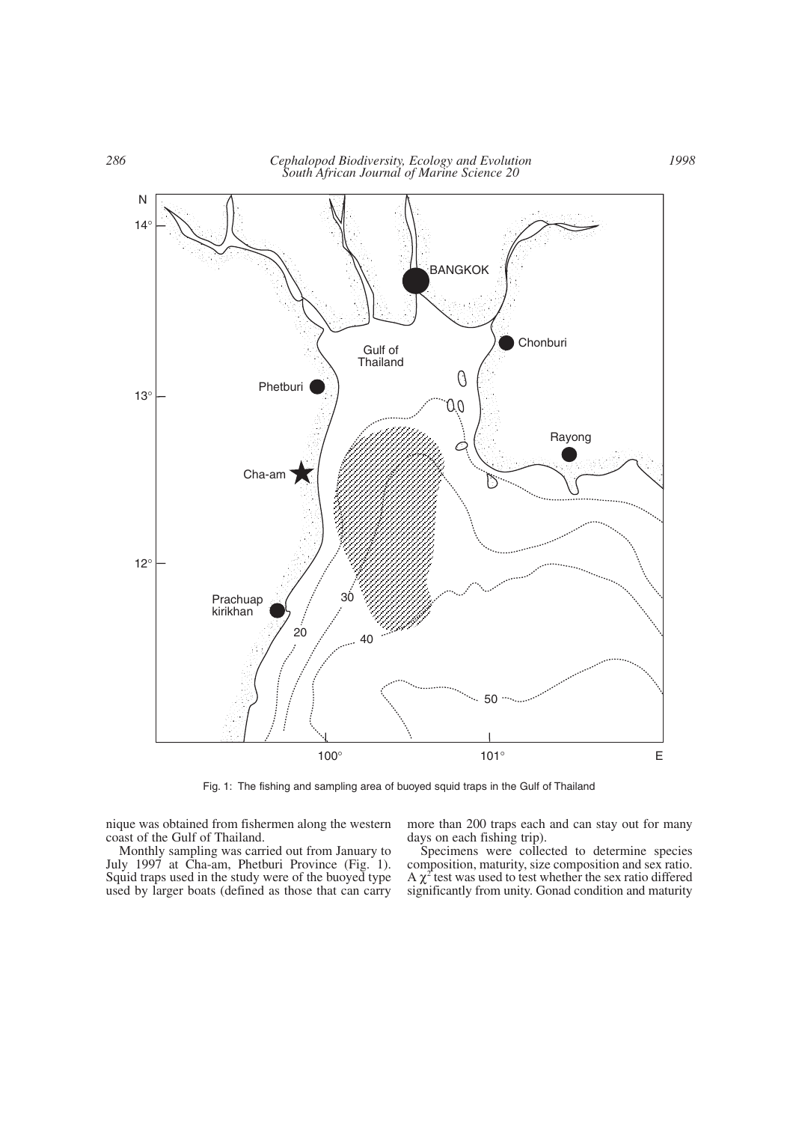

Fig. 1: The fishing and sampling area of buoyed squid traps in the Gulf of Thailand

nique was obtained from fishermen along the western coast of the Gulf of Thailand.

more than 200 traps each and can stay out for many days on each fishing trip).

Monthly sampling was carried out from January to July 1997 at Cha-am, Phetburi Province (Fig. 1). Squid traps used in the study were of the buoyed type used by larger boats (defined as those that can carry

Specimens were collected to determine species composition, maturity, size composition and sex ratio. A  $\chi^2$  test was used to test whether the sex ratio differed significantly from unity. Gonad condition and maturity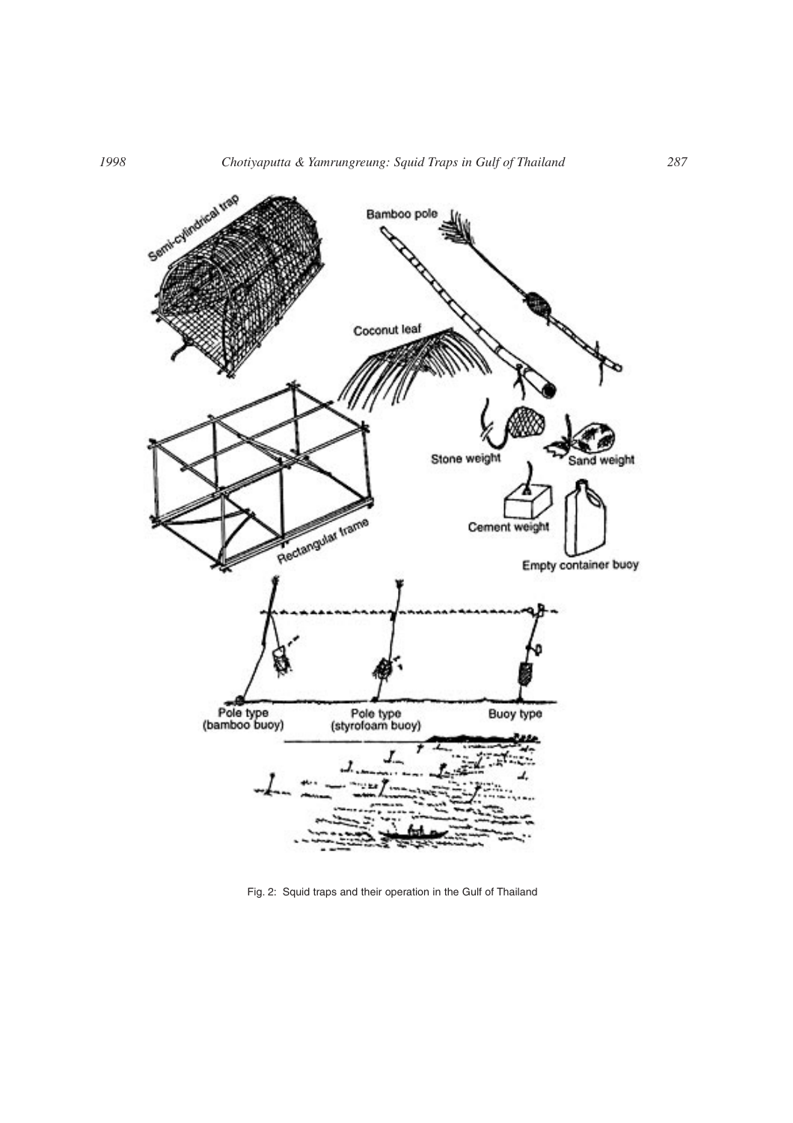

Fig. 2: Squid traps and their operation in the Gulf of Thailand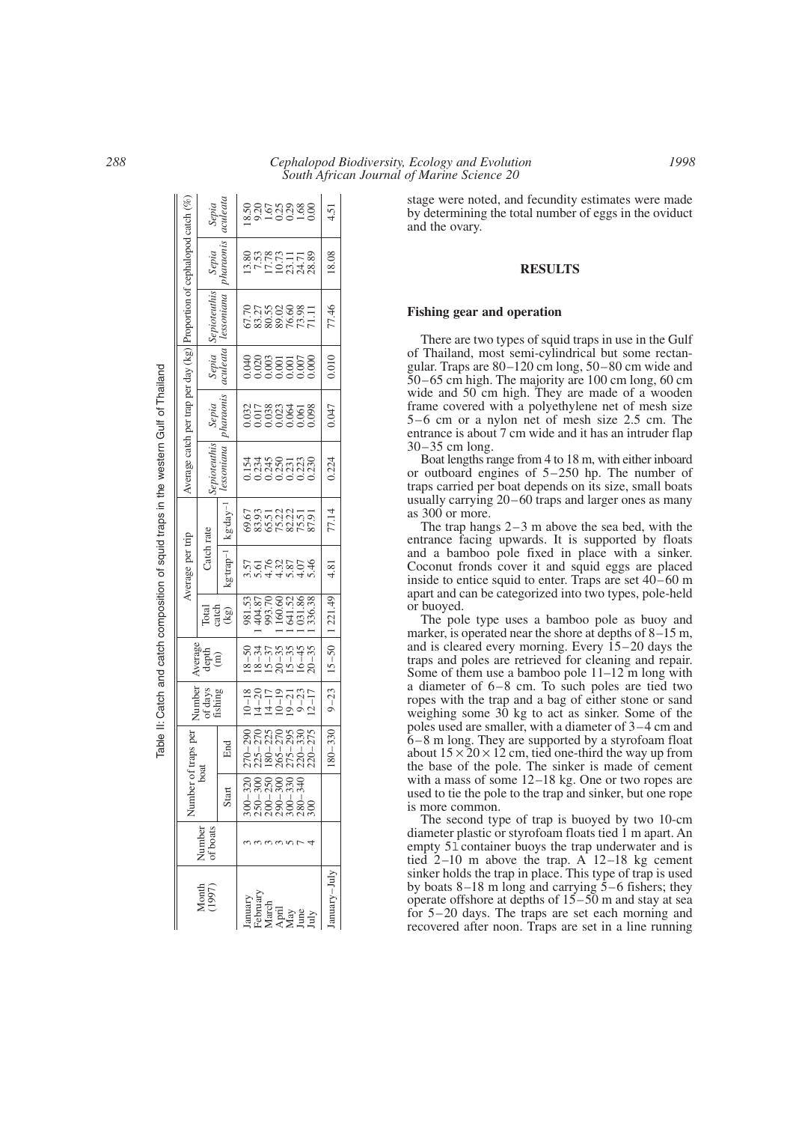|                                                              |                    | Number                                                       | of traps per                                                       |                              | werage                                                      |                                                                | Average per trip               |                                   |                                       |                                        |               | Average catch per trap per day (kg) Proportion of cephalopod catch ( |                                       |                |
|--------------------------------------------------------------|--------------------|--------------------------------------------------------------|--------------------------------------------------------------------|------------------------------|-------------------------------------------------------------|----------------------------------------------------------------|--------------------------------|-----------------------------------|---------------------------------------|----------------------------------------|---------------|----------------------------------------------------------------------|---------------------------------------|----------------|
| Month<br>(1997)                                              | Number<br>of boats | boat                                                         |                                                                    | Number<br>of days<br>fishing | depth                                                       |                                                                | Catch rate                     |                                   | epioteuthis                           | Sepia                                  | Sepia         | Sepioteuthis                                                         | Sepia                                 | Sepia          |
|                                                              |                    | Start                                                        | Еnd                                                                |                              | $\hat{(\mathbf{m})}$                                        | ਟਰੀ<br>ਸ਼ਹਿ<br>ਟਿ                                              | $grtrap^{-1}$                  | kg·dav-                           | essoniana                             | pharaonis                              | <i>uleata</i> | lessoniana                                                           | haraoni.                              | culeat         |
|                                                              |                    |                                                              |                                                                    | $-18$                        |                                                             |                                                                |                                |                                   |                                       |                                        |               |                                                                      |                                       |                |
|                                                              |                    |                                                              |                                                                    | $4 - 20$                     |                                                             |                                                                |                                |                                   |                                       |                                        |               |                                                                      |                                       |                |
|                                                              |                    | 300-320<br>230-330<br>230-330-330<br>200-330-340<br>280-3300 | 270-290<br>225-270<br>225-275<br>180-275-295<br>276-275<br>220-275 |                              |                                                             | 981.53<br>404.87<br>993.70<br>60.60 1.86<br>60.83<br>60.336.33 | ngraigea<br>Cordadh<br>Cordadh | 65352355<br>635532555<br>63653555 | 1545<br>13245<br>00235338<br>00000000 | 1032<br>1058<br>105000000<br>100000000 |               | 67.70<br>83.56088.77<br>88.876.77.11                                 | 13.80<br>7.57<br>17.72<br>12.23.28.28 | sas<br>1999888 |
|                                                              |                    |                                                              |                                                                    | $\frac{4-17}{0-19}$          |                                                             |                                                                |                                |                                   |                                       |                                        |               |                                                                      |                                       |                |
|                                                              |                    |                                                              |                                                                    | $-21$                        | 15 – 37<br>20 – 35<br>20 – 45<br>16 – 45<br>20 – 20<br>20 – |                                                                |                                |                                   |                                       |                                        |               |                                                                      |                                       |                |
|                                                              |                    |                                                              |                                                                    | $9 - 23$<br>$(2 - 17)$       |                                                             |                                                                |                                |                                   |                                       |                                        |               |                                                                      |                                       |                |
| January<br>February<br>March<br>April<br>Ang<br>July<br>July |                    |                                                              |                                                                    |                              |                                                             |                                                                |                                |                                   |                                       |                                        |               |                                                                      |                                       |                |
| /lul–ymal                                                    |                    |                                                              | $180 - 330$                                                        |                              | $9-23$   $15-50$   1221.49                                  |                                                                | 4.81                           | 77.14                             | 0.224                                 | 0.047                                  | 0.010         | 77.46                                                                | 18.08                                 | 1.51           |

Table II: Catch and catch composition of squid traps in the western Gulf of Thailand

Table II: Catch and catch composition of squid traps in the western Gulf of Thailand

stage were noted, and fecundity estimates were made by determining the total number of eggs in the oviduct and the ovary.

#### **RESULTS**

#### **Fishing gear and operation**

There are two types of squid traps in use in the Gulf of Thailand, most semi-cylindrical but some rectangular. Traps are 80–120 cm long, 50–80 cm wide and 50–65 cm high. The majority are 100 cm long, 60 cm wide and 50 cm high. They are made of a wooden frame covered with a polyethylene net of mesh size 5–6 cm or a nylon net of mesh size 2.5 cm. The entrance is about 7 cm wide and it has an intruder flap 30–35 cm long.

Boat lengths range from 4 to 18 m, with either inboard or outboard engines of 5–250 hp. The number of traps carried per boat depends on its size, small boats usually carrying 20–60 traps and larger ones as many as 300 or more.

The trap hangs  $2-3$  m above the sea bed, with the entrance facing upwards. It is supported by floats and a bamboo pole fixed in place with a sinker. Coconut fronds cover it and squid eggs are placed inside to entice squid to enter. Traps are set 40–60 m apart and can be categorized into two types, pole-held or buoyed.

The pole type uses a bamboo pole as buoy and marker, is operated near the shore at depths of 8–15 m, and is cleared every morning. Every 15–20 days the traps and poles are retrieved for cleaning and repair. Some of them use a bamboo pole 11–12 m long with a diameter of 6–8 cm. To such poles are tied two ropes with the trap and a bag of either stone or sand weighing some 30 kg to act as sinker. Some of the poles used are smaller, with a diameter of 3–4 cm and 6–8 m long. They are supported by a styrofoam float about  $15 \times 20 \times 12$  cm, tied one-third the way up from the base of the pole. The sinker is made of cement with a mass of some 12–18 kg. One or two ropes are used to tie the pole to the trap and sinker, but one rope is more common.

The second type of trap is buoyed by two 10-cm diameter plastic or styrofoam floats tied 1 m apart. An empty 51 container buoys the trap underwater and is tied  $2-10$  m above the trap. A  $12-18$  kg cement sinker holds the trap in place. This type of trap is used by boats 8–18 m long and carrying 5–6 fishers; they operate offshore at depths of 15–50 m and stay at sea for 5–20 days. The traps are set each morning and recovered after noon. Traps are set in a line running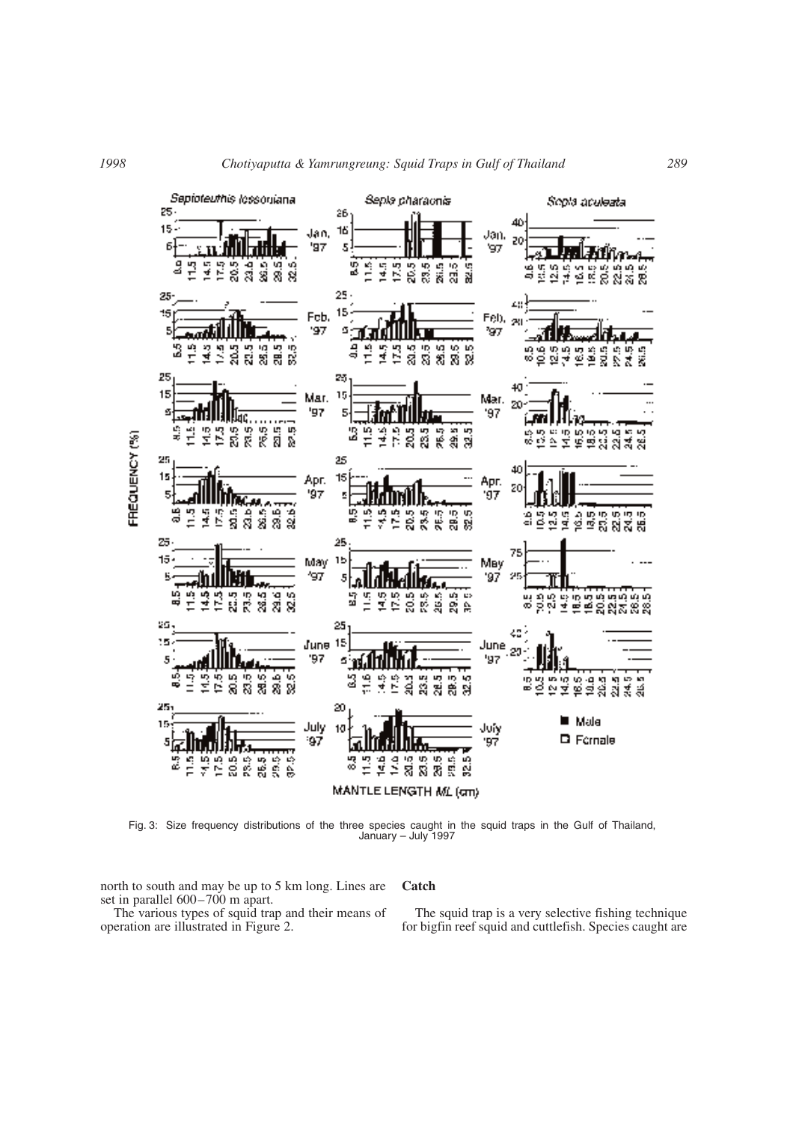

Fig. 3: Size frequency distributions of the three species caught in the squid traps in the Gulf of Thailand, January – July 1997

north to south and may be up to 5 km long. Lines are set in parallel 600–700 m apart.

The various types of squid trap and their means of operation are illustrated in Figure 2.

## **Catch**

The squid trap is a very selective fishing technique for bigfin reef squid and cuttlefish. Species caught are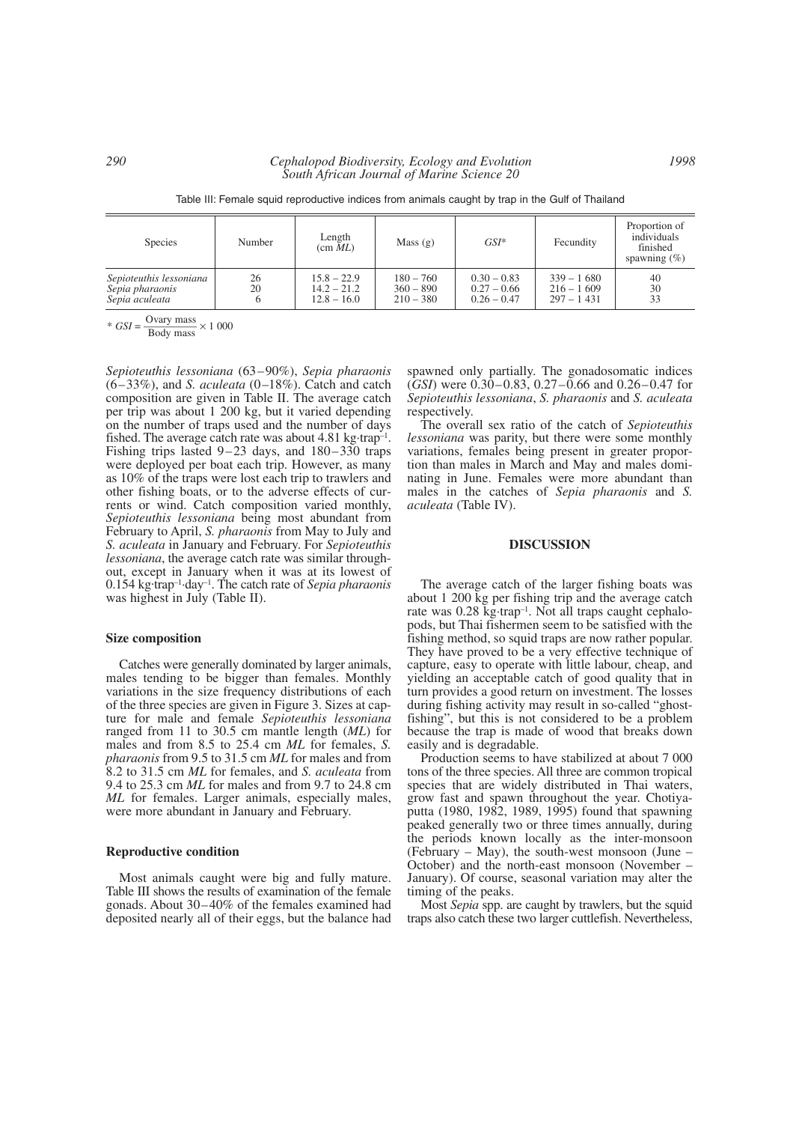Table III: Female squid reproductive indices from animals caught by trap in the Gulf of Thailand

| <b>Species</b>                                               | Number   | Length<br>(cm ML)                               | Mass $(g)$                                | $GSI^*$                                         | Fecundity                                    | Proportion of<br>individuals<br>finished<br>spawning $(\% )$ |
|--------------------------------------------------------------|----------|-------------------------------------------------|-------------------------------------------|-------------------------------------------------|----------------------------------------------|--------------------------------------------------------------|
| Sepioteuthis lessoniana<br>Sepia pharaonis<br>Sepia aculeata | 26<br>20 | $15.8 - 22.9$<br>$14.2 - 21.2$<br>$12.8 - 16.0$ | $180 - 760$<br>$360 - 890$<br>$210 - 380$ | $0.30 - 0.83$<br>$0.27 - 0.66$<br>$0.26 - 0.47$ | $339 - 1680$<br>$216 - 1609$<br>$297 - 1431$ | 40<br>30<br>33                                               |

 $\frac{y}{s}$  *GSI* =  $\frac{\text{Ovary mass}}{\text{Body mass}} \times 1000$ 

*Sepioteuthis lessoniana* (63–90%), *Sepia pharaonis* (6–33%), and *S. aculeata* (0–18%). Catch and catch composition are given in Table II. The average catch per trip was about 1 200 kg, but it varied depending on the number of traps used and the number of days fished. The average catch rate was about 4.81 kg·trap–1. Fishing trips lasted 9–23 days, and 180–330 traps were deployed per boat each trip. However, as many as 10% of the traps were lost each trip to trawlers and other fishing boats, or to the adverse effects of currents or wind. Catch composition varied monthly, *Sepioteuthis lessoniana* being most abundant from February to April, *S. pharaonis* from May to July and *S. aculeata* in January and February. For *Sepioteuthis lessoniana*, the average catch rate was similar throughout, except in January when it was at its lowest of 0.154 kg. trap–1·day–1. The catch rate of *Sepia pharaonis* was highest in July (Table II).

# **Size composition**

Catches were generally dominated by larger animals, males tending to be bigger than females. Monthly variations in the size frequency distributions of each of the three species are given in Figure 3. Sizes at capture for male and female *Sepioteuthis lessoniana* ranged from 11 to 30.5 cm mantle length (*ML*) for males and from 8.5 to 25.4 cm *ML* for females, *S. pharaonis* from 9.5 to 31.5 cm *ML* for males and from 8.2 to 31.5 cm *ML* for females, and *S. aculeata* from 9.4 to 25.3 cm *ML* for males and from 9.7 to 24.8 cm *ML* for females. Larger animals, especially males, were more abundant in January and February.

#### **Reproductive condition**

Most animals caught were big and fully mature. Table III shows the results of examination of the female gonads. About 30–40% of the females examined had deposited nearly all of their eggs, but the balance had spawned only partially. The gonadosomatic indices (*GSI*) were 0.30–0.83, 0.27–0.66 and 0.26–0.47 for *Sepioteuthis lessoniana*, *S. pharaonis* and *S. aculeata* respectively.

The overall sex ratio of the catch of *Sepioteuthis lessoniana* was parity, but there were some monthly variations, females being present in greater proportion than males in March and May and males dominating in June. Females were more abundant than males in the catches of *Sepia pharaonis* and *S. aculeata* (Table IV).

#### **DISCUSSION**

The average catch of the larger fishing boats was about 1 200 kg per fishing trip and the average catch rate was 0.28 kg·trap–1. Not all traps caught cephalopods, but Thai fishermen seem to be satisfied with the fishing method, so squid traps are now rather popular. They have proved to be a very effective technique of capture, easy to operate with little labour, cheap, and yielding an acceptable catch of good quality that in turn provides a good return on investment. The losses during fishing activity may result in so-called "ghostfishing", but this is not considered to be a problem because the trap is made of wood that breaks down easily and is degradable.

Production seems to have stabilized at about 7 000 tons of the three species. All three are common tropical species that are widely distributed in Thai waters, grow fast and spawn throughout the year. Chotiyaputta (1980, 1982, 1989, 1995) found that spawning peaked generally two or three times annually, during the periods known locally as the inter-monsoon (February – May), the south-west monsoon (June – October) and the north-east monsoon (November – January). Of course, seasonal variation may alter the timing of the peaks.

Most *Sepia* spp. are caught by trawlers, but the squid traps also catch these two larger cuttlefish. Nevertheless,